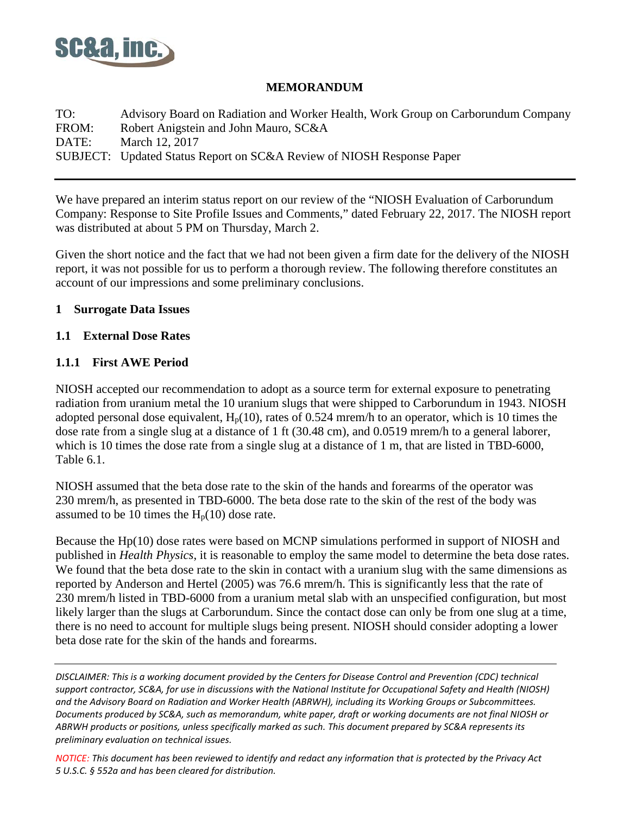

#### **MEMORANDUM**

TO: Advisory Board on Radiation and Worker Health, Work Group on Carborundum Company FROM: Robert Anigstein and John Mauro, SC&A DATE: March 12, 2017 SUBJECT: Updated Status Report on SC&A Review of NIOSH Response Paper

We have prepared an interim status report on our review of the "NIOSH Evaluation of Carborundum Company: Response to Site Profile Issues and Comments," dated February 22, 2017. The NIOSH report was distributed at about 5 PM on Thursday, March 2.

Given the short notice and the fact that we had not been given a firm date for the delivery of the NIOSH report, it was not possible for us to perform a thorough review. The following therefore constitutes an account of our impressions and some preliminary conclusions.

#### **1 Surrogate Data Issues**

#### **1.1 External Dose Rates**

## **1.1.1 First AWE Period**

NIOSH accepted our recommendation to adopt as a source term for external exposure to penetrating radiation from uranium metal the 10 uranium slugs that were shipped to Carborundum in 1943. NIOSH adopted personal dose equivalent,  $H_p(10)$ , rates of 0.524 mrem/h to an operator, which is 10 times the dose rate from a single slug at a distance of 1 ft (30.48 cm), and 0.0519 mrem/h to a general laborer, which is 10 times the dose rate from a single slug at a distance of 1 m, that are listed in TBD-6000, Table 6.1.

NIOSH assumed that the beta dose rate to the skin of the hands and forearms of the operator was 230 mrem/h, as presented in TBD-6000. The beta dose rate to the skin of the rest of the body was assumed to be 10 times the  $H_p(10)$  dose rate.

Because the Hp(10) dose rates were based on MCNP simulations performed in support of NIOSH and published in *Health Physics*, it is reasonable to employ the same model to determine the beta dose rates. We found that the beta dose rate to the skin in contact with a uranium slug with the same dimensions as reported by Anderson and Hertel (2005) was 76.6 mrem/h. This is significantly less that the rate of 230 mrem/h listed in TBD-6000 from a uranium metal slab with an unspecified configuration, but most likely larger than the slugs at Carborundum. Since the contact dose can only be from one slug at a time, there is no need to account for multiple slugs being present. NIOSH should consider adopting a lower beta dose rate for the skin of the hands and forearms.

*DISCLAIMER: This is a working document provided by the Centers for Disease Control and Prevention (CDC) technical support contractor, SC&A, for use in discussions with the National Institute for Occupational Safety and Health (NIOSH) and the Advisory Board on Radiation and Worker Health (ABRWH), including its Working Groups or Subcommittees. Documents produced by SC&A, such as memorandum, white paper, draft or working documents are not final NIOSH or ABRWH products or positions, unless specifically marked as such. This document prepared by SC&A represents its preliminary evaluation on technical issues.*

*NOTICE: This document has been reviewed to identify and redact any information that is protected by the Privacy Act 5 U.S.C. § 552a and has been cleared for distribution.*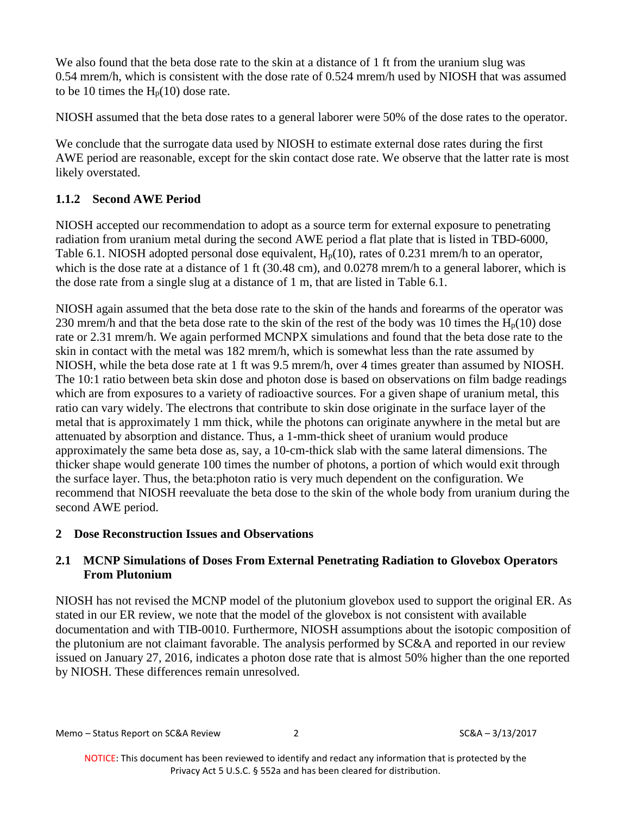We also found that the beta dose rate to the skin at a distance of 1 ft from the uranium slug was 0.54 mrem/h, which is consistent with the dose rate of 0.524 mrem/h used by NIOSH that was assumed to be 10 times the  $H_p(10)$  dose rate.

NIOSH assumed that the beta dose rates to a general laborer were 50% of the dose rates to the operator.

We conclude that the surrogate data used by NIOSH to estimate external dose rates during the first AWE period are reasonable, except for the skin contact dose rate. We observe that the latter rate is most likely overstated.

# **1.1.2 Second AWE Period**

NIOSH accepted our recommendation to adopt as a source term for external exposure to penetrating radiation from uranium metal during the second AWE period a flat plate that is listed in TBD-6000, Table 6.1. NIOSH adopted personal dose equivalent,  $H_p(10)$ , rates of 0.231 mrem/h to an operator, which is the dose rate at a distance of 1 ft (30.48 cm), and 0.0278 mrem/h to a general laborer, which is the dose rate from a single slug at a distance of 1 m, that are listed in Table 6.1.

NIOSH again assumed that the beta dose rate to the skin of the hands and forearms of the operator was 230 mrem/h and that the beta dose rate to the skin of the rest of the body was 10 times the  $H_p(10)$  dose rate or 2.31 mrem/h. We again performed MCNPX simulations and found that the beta dose rate to the skin in contact with the metal was 182 mrem/h, which is somewhat less than the rate assumed by NIOSH, while the beta dose rate at 1 ft was 9.5 mrem/h, over 4 times greater than assumed by NIOSH. The 10:1 ratio between beta skin dose and photon dose is based on observations on film badge readings which are from exposures to a variety of radioactive sources. For a given shape of uranium metal, this ratio can vary widely. The electrons that contribute to skin dose originate in the surface layer of the metal that is approximately 1 mm thick, while the photons can originate anywhere in the metal but are attenuated by absorption and distance. Thus, a 1-mm-thick sheet of uranium would produce approximately the same beta dose as, say, a 10-cm-thick slab with the same lateral dimensions. The thicker shape would generate 100 times the number of photons, a portion of which would exit through the surface layer. Thus, the beta:photon ratio is very much dependent on the configuration. We recommend that NIOSH reevaluate the beta dose to the skin of the whole body from uranium during the second AWE period.

# **2 Dose Reconstruction Issues and Observations**

# **2.1 MCNP Simulations of Doses From External Penetrating Radiation to Glovebox Operators From Plutonium**

NIOSH has not revised the MCNP model of the plutonium glovebox used to support the original ER. As stated in our ER review, we note that the model of the glovebox is not consistent with available documentation and with TIB-0010. Furthermore, NIOSH assumptions about the isotopic composition of the plutonium are not claimant favorable. The analysis performed by SC&A and reported in our review issued on January 27, 2016, indicates a photon dose rate that is almost 50% higher than the one reported by NIOSH. These differences remain unresolved.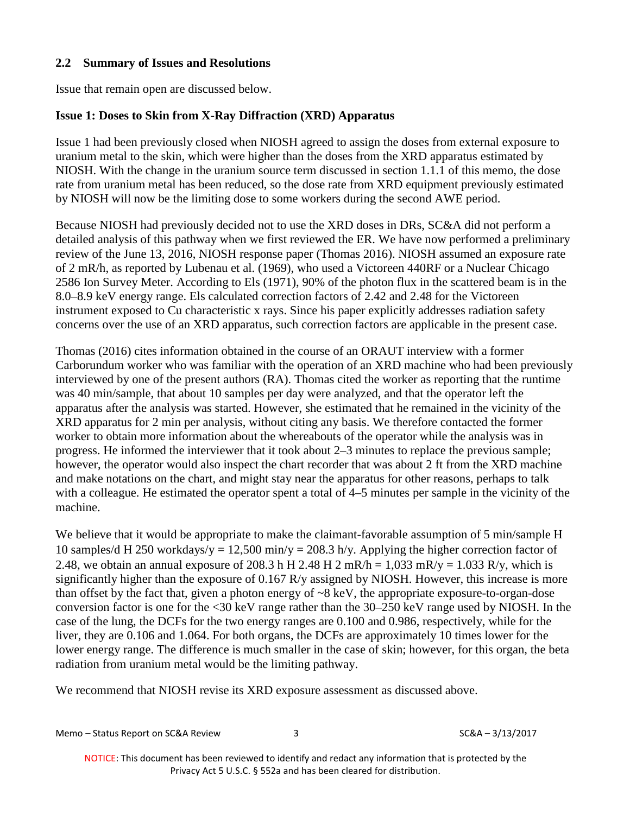#### **2.2 Summary of Issues and Resolutions**

Issue that remain open are discussed below.

#### **Issue 1: Doses to Skin from X-Ray Diffraction (XRD) Apparatus**

Issue 1 had been previously closed when NIOSH agreed to assign the doses from external exposure to uranium metal to the skin, which were higher than the doses from the XRD apparatus estimated by NIOSH. With the change in the uranium source term discussed in section 1.1.1 of this memo, the dose rate from uranium metal has been reduced, so the dose rate from XRD equipment previously estimated by NIOSH will now be the limiting dose to some workers during the second AWE period.

Because NIOSH had previously decided not to use the XRD doses in DRs, SC&A did not perform a detailed analysis of this pathway when we first reviewed the ER. We have now performed a preliminary review of the June 13, 2016, NIOSH response paper (Thomas 2016). NIOSH assumed an exposure rate of 2 mR/h, as reported by Lubenau et al. (1969), who used a Victoreen 440RF or a Nuclear Chicago 2586 Ion Survey Meter. According to Els (1971), 90% of the photon flux in the scattered beam is in the 8.0–8.9 keV energy range. Els calculated correction factors of 2.42 and 2.48 for the Victoreen instrument exposed to Cu characteristic x rays. Since his paper explicitly addresses radiation safety concerns over the use of an XRD apparatus, such correction factors are applicable in the present case.

Thomas (2016) cites information obtained in the course of an ORAUT interview with a former Carborundum worker who was familiar with the operation of an XRD machine who had been previously interviewed by one of the present authors (RA). Thomas cited the worker as reporting that the runtime was 40 min/sample, that about 10 samples per day were analyzed, and that the operator left the apparatus after the analysis was started. However, she estimated that he remained in the vicinity of the XRD apparatus for 2 min per analysis, without citing any basis. We therefore contacted the former worker to obtain more information about the whereabouts of the operator while the analysis was in progress. He informed the interviewer that it took about 2–3 minutes to replace the previous sample; however, the operator would also inspect the chart recorder that was about 2 ft from the XRD machine and make notations on the chart, and might stay near the apparatus for other reasons, perhaps to talk with a colleague. He estimated the operator spent a total of 4–5 minutes per sample in the vicinity of the machine.

We believe that it would be appropriate to make the claimant-favorable assumption of 5 min/sample H 10 samples/d H 250 workdays/y = 12,500 min/y = 208.3 h/y. Applying the higher correction factor of 2.48, we obtain an annual exposure of 208.3 h H 2.48 H 2 mR/h =  $1,033$  mR/y =  $1.033$  R/y, which is significantly higher than the exposure of 0.167 R/y assigned by NIOSH. However, this increase is more than offset by the fact that, given a photon energy of ~8 keV, the appropriate exposure-to-organ-dose conversion factor is one for the <30 keV range rather than the 30–250 keV range used by NIOSH. In the case of the lung, the DCFs for the two energy ranges are 0.100 and 0.986, respectively, while for the liver, they are 0.106 and 1.064. For both organs, the DCFs are approximately 10 times lower for the lower energy range. The difference is much smaller in the case of skin; however, for this organ, the beta radiation from uranium metal would be the limiting pathway.

We recommend that NIOSH revise its XRD exposure assessment as discussed above.

Memo – Status Report on SC&A Review 3 3 SC&A – 3/13/2017

NOTICE: This document has been reviewed to identify and redact any information that is protected by the Privacy Act 5 U.S.C. § 552a and has been cleared for distribution.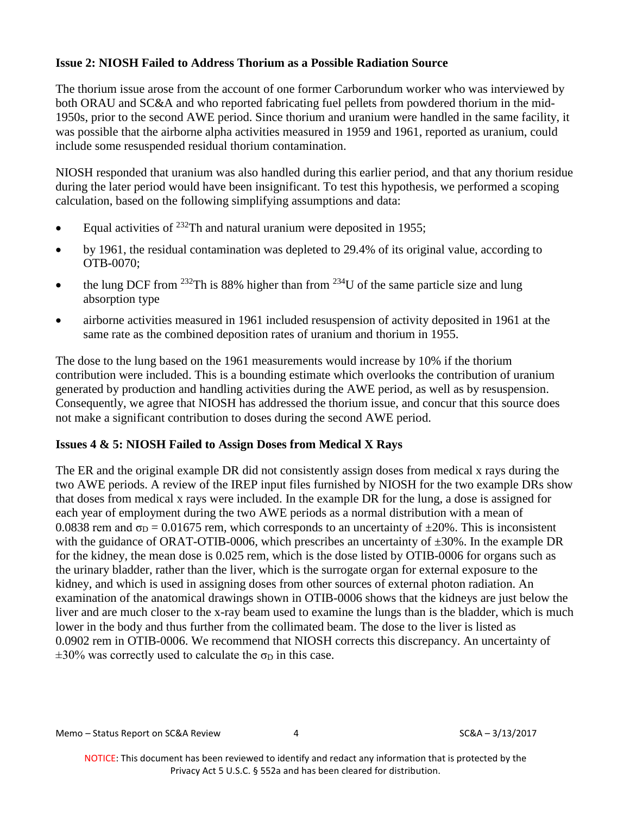## **Issue 2: NIOSH Failed to Address Thorium as a Possible Radiation Source**

The thorium issue arose from the account of one former Carborundum worker who was interviewed by both ORAU and SC&A and who reported fabricating fuel pellets from powdered thorium in the mid-1950s, prior to the second AWE period. Since thorium and uranium were handled in the same facility, it was possible that the airborne alpha activities measured in 1959 and 1961, reported as uranium, could include some resuspended residual thorium contamination.

NIOSH responded that uranium was also handled during this earlier period, and that any thorium residue during the later period would have been insignificant. To test this hypothesis, we performed a scoping calculation, based on the following simplifying assumptions and data:

- Equal activities of  $^{232}$ Th and natural uranium were deposited in 1955;
- by 1961, the residual contamination was depleted to 29.4% of its original value, according to OTB-0070;
- the lung DCF from <sup>232</sup>Th is 88% higher than from <sup>234</sup>U of the same particle size and lung absorption type
- airborne activities measured in 1961 included resuspension of activity deposited in 1961 at the same rate as the combined deposition rates of uranium and thorium in 1955.

The dose to the lung based on the 1961 measurements would increase by 10% if the thorium contribution were included. This is a bounding estimate which overlooks the contribution of uranium generated by production and handling activities during the AWE period, as well as by resuspension. Consequently, we agree that NIOSH has addressed the thorium issue, and concur that this source does not make a significant contribution to doses during the second AWE period.

## **Issues 4 & 5: NIOSH Failed to Assign Doses from Medical X Rays**

The ER and the original example DR did not consistently assign doses from medical x rays during the two AWE periods. A review of the IREP input files furnished by NIOSH for the two example DRs show that doses from medical x rays were included. In the example DR for the lung, a dose is assigned for each year of employment during the two AWE periods as a normal distribution with a mean of 0.0838 rem and  $\sigma_{\rm D} = 0.01675$  rem, which corresponds to an uncertainty of  $\pm 20\%$ . This is inconsistent with the guidance of ORAT-OTIB-0006, which prescribes an uncertainty of  $\pm 30\%$ . In the example DR for the kidney, the mean dose is 0.025 rem, which is the dose listed by OTIB-0006 for organs such as the urinary bladder, rather than the liver, which is the surrogate organ for external exposure to the kidney, and which is used in assigning doses from other sources of external photon radiation. An examination of the anatomical drawings shown in OTIB-0006 shows that the kidneys are just below the liver and are much closer to the x-ray beam used to examine the lungs than is the bladder, which is much lower in the body and thus further from the collimated beam. The dose to the liver is listed as 0.0902 rem in OTIB-0006. We recommend that NIOSH corrects this discrepancy. An uncertainty of  $\pm 30\%$  was correctly used to calculate the  $\sigma_D$  in this case.